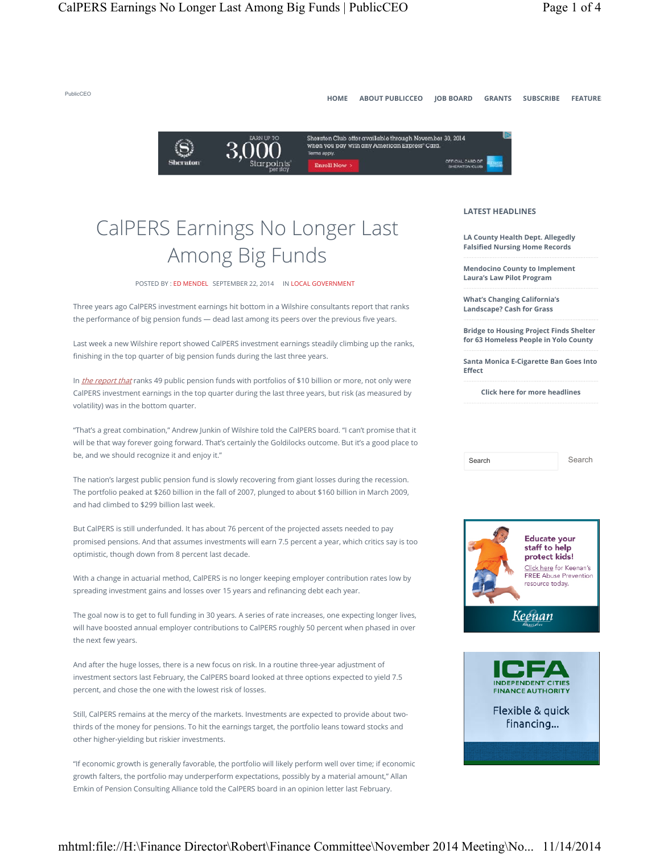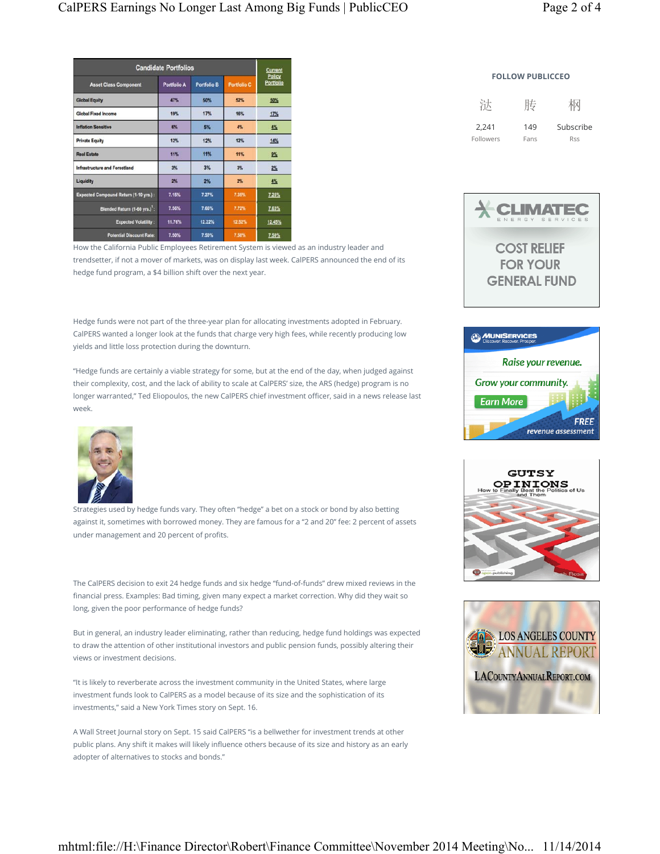| <b>Candidate Portfolios</b>            |                    |                    |                    |                     |
|----------------------------------------|--------------------|--------------------|--------------------|---------------------|
| <b>Asset Class Component</b>           | <b>Portfolio A</b> | <b>Portfolio B</b> | <b>Portfolio C</b> | Policy<br>Portfolio |
| <b>Global Equity</b>                   | 47%                | 50%                | 52%                | 50%                 |
| <b>Global Fixed Income</b>             | 19%                | 17%                | 16%                | 17%                 |
| <b>Inflation Sensitive</b>             | 6%                 | 5%                 | 4%                 | 4%                  |
| <b>Private Equity</b>                  | 12%                | 12%                | 12%                | 14%                 |
| <b>Real Estate</b>                     | 11%                | 11%                | 11%                | 9%                  |
| <b>Infrastructure and Forestland</b>   | 3%                 | 3%                 | 3%                 | 2%                  |
| Liquidity                              | 2%                 | 2%                 | 2%                 | 4%                  |
| Expected Compound Return (1-10 yrs.) : | 7.15%              | 7.27%              | 7.35%              | 7.25%               |
| Blended Return (1-60 yrs.)':           | 7.56%              | 7.66%              | 7.72%              | 7.63%               |
| <b>Expected Volatility:</b>            | 11.76%             | 12.22%             | 12.52%             | 12,45%              |
| <b>Potential Discount Rate:</b>        | 7.50%              | 7.50%              | 7.50%              | 7.50%               |

How the California Public Employees Retirement System is viewed as an industry leader and trendsetter, if not a mover of markets, was on display last week. CalPERS announced the end of its hedge fund program, a \$4 billion shift over the next year.

Hedge funds were not part of the three-year plan for allocating investments adopted in February. CalPERS wanted a longer look at the funds that charge very high fees, while recently producing low yields and little loss protection during the downturn.

"Hedge funds are certainly a viable strategy for some, but at the end of the day, when judged against their complexity, cost, and the lack of ability to scale at CalPERS' size, the ARS (hedge) program is no longer warranted," Ted Eliopoulos, the new CalPERS chief investment officer, said in a news release last week.



Strategies used by hedge funds vary. They often "hedge" a bet on a stock or bond by also betting against it, sometimes with borrowed money. They are famous for a "2 and 20" fee: 2 percent of assets under management and 20 percent of profits.

The CalPERS decision to exit 24 hedge funds and six hedge "fund-of-funds" drew mixed reviews in the financial press. Examples: Bad timing, given many expect a market correction. Why did they wait so long, given the poor performance of hedge funds?

But in general, an industry leader eliminating, rather than reducing, hedge fund holdings was expected to draw the attention of other institutional investors and public pension funds, possibly altering their views or investment decisions.

"It is likely to reverberate across the investment community in the United States, where large investment funds look to CalPERS as a model because of its size and the sophistication of its investments," said a New York Times story on Sept. 16.

A Wall Street Journal story on Sept. 15 said CalPERS "is a bellwether for investment trends at other public plans. Any shift it makes will likely influence others because of its size and history as an early adopter of alternatives to stocks and bonds."

**FOLLOW PUBLICCEO** 

| 汁大        | 眊    |            |
|-----------|------|------------|
| 2.241     | 149  | Subscribe  |
| Followers | Fans | <b>Rss</b> |







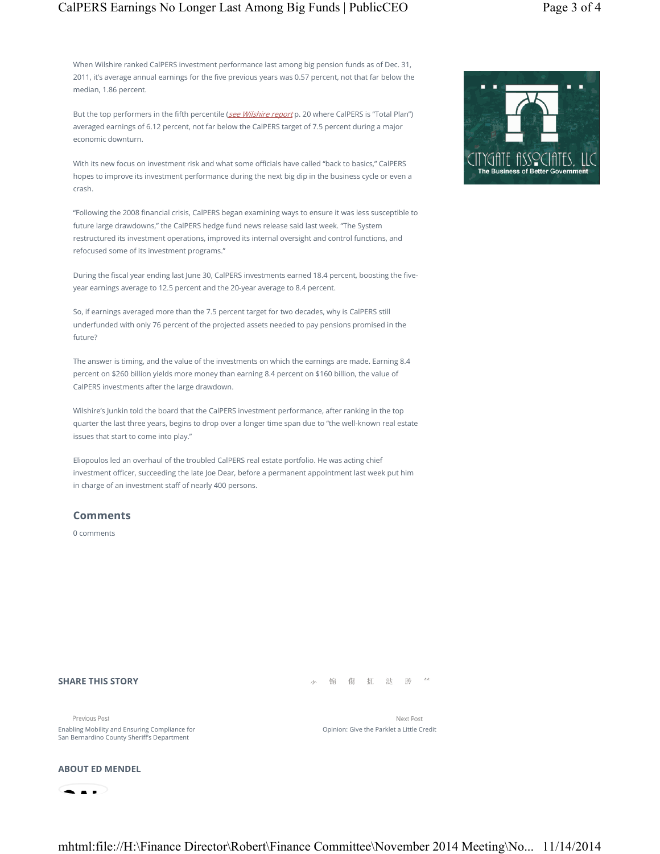# CalPERS Earnings No Longer Last Among Big Funds | PublicCEO Page 3 of 4

When Wilshire ranked CalPERS investment performance last among big pension funds as of Dec. 31, 2011, it's average annual earnings for the five previous years was 0.57 percent, not that far below the median, 1.86 percent.

But the top performers in the fifth percentile (see Wilshire report p. 20 where CalPERS is "Total Plan") averaged earnings of 6.12 percent, not far below the CalPERS target of 7.5 percent during a major economic downturn.

With its new focus on investment risk and what some officials have called "back to basics," CalPERS hopes to improve its investment performance during the next big dip in the business cycle or even a crash.

"Following the 2008 financial crisis, CalPERS began examining ways to ensure it was less susceptible to future large drawdowns," the CalPERS hedge fund news release said last week. "The System restructured its investment operations, improved its internal oversight and control functions, and refocused some of its investment programs."

During the fiscal year ending last June 30, CalPERS investments earned 18.4 percent, boosting the fiveyear earnings average to 12.5 percent and the 20-year average to 8.4 percent.

So, if earnings averaged more than the 7.5 percent target for two decades, why is CalPERS still underfunded with only 76 percent of the projected assets needed to pay pensions promised in the future?

The answer is timing, and the value of the investments on which the earnings are made. Earning 8.4 percent on \$260 billion yields more money than earning 8.4 percent on \$160 billion, the value of CalPERS investments after the large drawdown.

Wilshire's Junkin told the board that the CalPERS investment performance, after ranking in the top quarter the last three years, begins to drop over a longer time span due to "the well-known real estate issues that start to come into play."

Eliopoulos led an overhaul of the troubled CalPERS real estate portfolio. He was acting chief investment officer, succeeding the late Joe Dear, before a permanent appointment last week put him in charge of an investment staff of nearly 400 persons.

## **Comments**

0 comments

### **SHARE THIS STORY**

Previous Post

Enabling Mobility and Ensuring Compliance for San Bernardino County Sheriff's Department

### **ABOUT ED MENDEL**





#### 小 铺 像 㧟 泷 䏝 竹

Next Post Opinion: Give the Parklet a Little Credit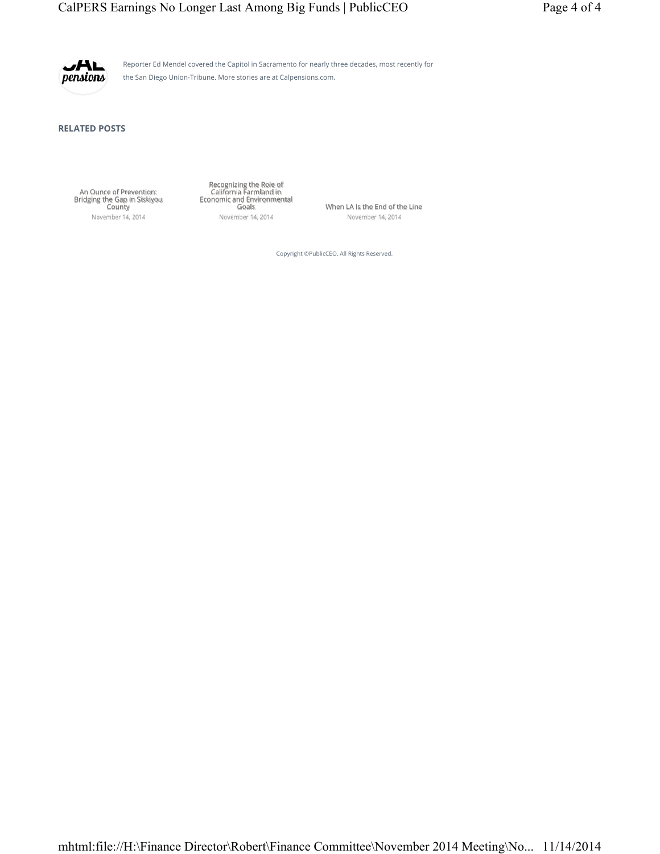# CalPERS Earnings No Longer Last Among Big Funds | PublicCEO Page 4 of 4



Reporter Ed Mendel covered the Capitol in Sacramento for nearly three decades, most recently for the San Diego Union-Tribune. More stories are at Calpensions.com.

**RELATED POSTS** 

An Ounce of Prevention: Bridging the Gap in Siskiyou County November 14, 2014

Recognizing the Role of California Farmland in Economic and Environmental November 14, 2014

When LA Is the End of the Line November 14, 2014

Copyright ©PublicCEO. All Rights Reserved.